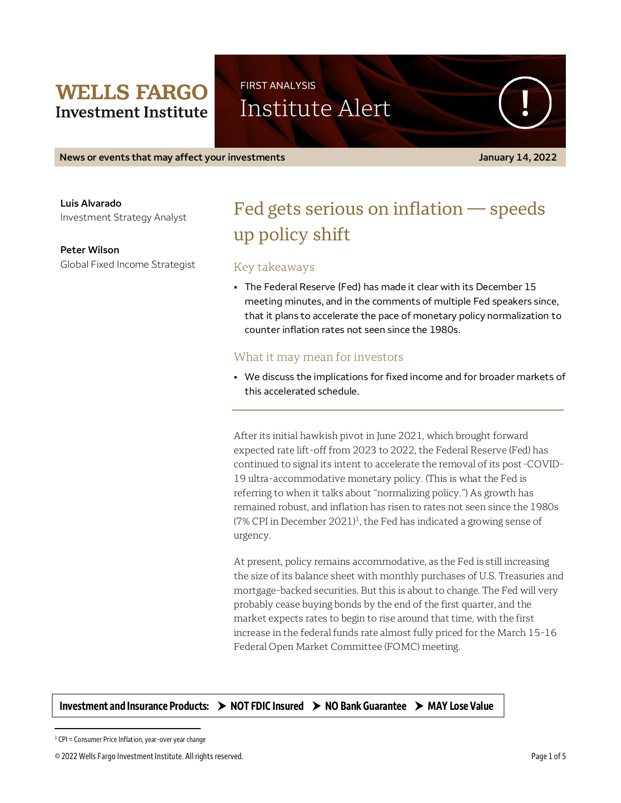## **WELLS FARGO Investment Institute**

FIRST ANALYSIS

Institute Alert

**News or events that may affect your investments January 14, 2022**

**Luis Alvarado** Investment Strategy Analyst

**Peter Wilson** Global Fixed Income Strategist

# Fed gets serious on inflation — speeds up policy shift

## Key takeaways

• The Federal Reserve (Fed) has made it clear with its December 15 meeting minutes, and in the comments of multiple Fed speakers since, that it plans to accelerate the pace of monetary policy normalization to counter inflation rates not seen since the 1980s.

## What it may mean for investors

• We discuss the implications for fixed income and for broader markets of this accelerated schedule.

After its initial hawkish pivot in June 2021, which brought forward expected rate lift-off from 2023 to 2022, the Federal Reserve (Fed) has continued to signal its intent to accelerate the removal of its post-COVID-19 ultra-accommodative monetary policy. (This is what the Fed is referring to when it talks about "normalizing policy.") As growth has remained robust, and inflation has risen to rates not seen since the 1980s (7% CPI in December 2021)<sup>1</sup>, the Fed has indicated a growing sense of urgency.

At present, policy remains accommodative, as the Fed is still increasing the size of its balance sheet with monthly purchases of U.S. Treasuries and mortgage-backed securities. But this is about to change. The Fed will very probably cease buying bonds by the end of the first quarter, and the market expects rates to begin to rise around that time, with the first increase in the federal funds rate almost fully priced for the March 15-16 Federal Open Market Committee (FOMC) meeting.

**Investment and Insurance Products: NOT FDIC Insured NO Bank Guarantee MAY Lose Value**

 $\overline{a}$ 

 $1$  CPI = Consumer Price Inflation, year-over year change

<sup>© 2022</sup> Wells Fargo Investment Institute. All rights reserved. Page 1 of 5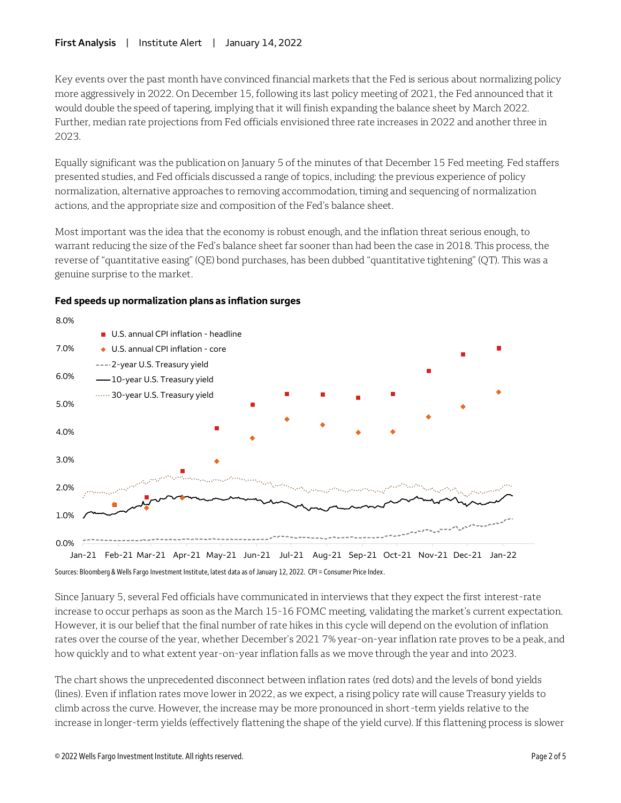#### **First Analysis** | Institute Alert | January 14, 2022

Key events over the past month have convinced financial markets that the Fed is serious about normalizing policy more aggressively in 2022. On December 15, following its last policy meeting of 2021, the Fed announced that it would double the speed of tapering, implying that it will finish expanding the balance sheet by March 2022. Further, median rate projections from Fed officials envisioned three rate increases in 2022 and another three in 2023.

Equally significant was the publication on January 5 of the minutes of that December 15 Fed meeting. Fed staffers presented studies, and Fed officials discussed a range of topics, including: the previous experience of policy normalization, alternative approaches to removing accommodation, timing and sequencing of normalization actions, and the appropriate size and composition of the Fed's balance sheet.

Most important was the idea that the economy is robust enough, and the inflation threat serious enough, to warrant reducing the size of the Fed's balance sheet far sooner than had been the case in 2018. This process, the reverse of "quantitative easing" (QE) bond purchases, has been dubbed "quantitative tightening" (QT). This was a genuine surprise to the market.



## **Fed speeds up normalization plans as inflation surges**

Sources: Bloomberg & Wells Fargo Investment Institute, latest data as of January 12, 2022. CPI = Consumer Price Index.

Since January 5, several Fed officials have communicated in interviews that they expect the first interest-rate increase to occur perhaps as soon as the March 15-16 FOMC meeting, validating the market's current expectation. However, it is our belief that the final number of rate hikes in this cycle will depend on the evolution of inflation rates over the course of the year, whether December's 2021 7% year-on-year inflation rate proves to be a peak, and how quickly and to what extent year-on-year inflation falls as we move through the year and into 2023.

The chart shows the unprecedented disconnect between inflation rates (red dots) and the levels of bond yields (lines). Even if inflation rates move lower in 2022, as we expect, a rising policy rate will cause Treasury yields to climb across the curve. However, the increase may be more pronounced in short-term yields relative to the increase in longer-term yields (effectively flattening the shape of the yield curve). If this flattening process is slower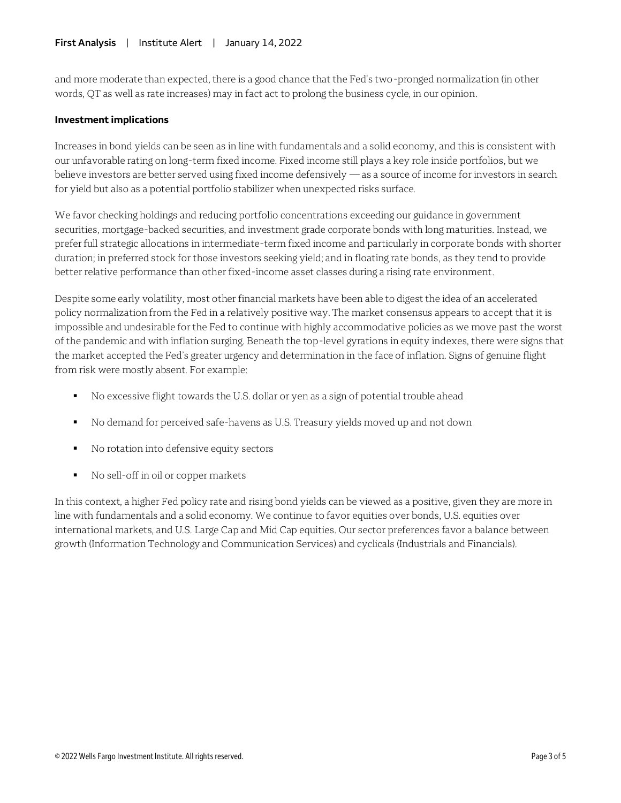and more moderate than expected, there is a good chance that the Fed's two-pronged normalization (in other words, QT as well as rate increases) may in fact act to prolong the business cycle, in our opinion.

#### **Investment implications**

Increases in bond yields can be seen as in line with fundamentals and a solid economy, and this is consistent with our unfavorable rating on long-term fixed income. Fixed income still plays a key role inside portfolios, but we believe investors are better served using fixed income defensively — as a source of income for investors in search for yield but also as a potential portfolio stabilizer when unexpected risks surface.

We favor checking holdings and reducing portfolio concentrations exceeding our guidance in government securities, mortgage-backed securities, and investment grade corporate bonds with long maturities. Instead, we prefer full strategic allocations in intermediate-term fixed income and particularly in corporate bonds with shorter duration; in preferred stock for those investors seeking yield; and in floating rate bonds, as they tend to provide better relative performance than other fixed-income asset classes during a rising rate environment.

Despite some early volatility, most other financial markets have been able to digest the idea of an accelerated policy normalization from the Fed in a relatively positive way. The market consensus appears to accept that it is impossible and undesirable for the Fed to continue with highly accommodative policies as we move past the worst of the pandemic and with inflation surging. Beneath the top-level gyrations in equity indexes, there were signs that the market accepted the Fed's greater urgency and determination in the face of inflation. Signs of genuine flight from risk were mostly absent. For example:

- No excessive flight towards the U.S. dollar or yen as a sign of potential trouble ahead
- No demand for perceived safe-havens as U.S. Treasury yields moved up and not down
- No rotation into defensive equity sectors
- No sell-off in oil or copper markets

In this context, a higher Fed policy rate and rising bond yields can be viewed as a positive, given they are more in line with fundamentals and a solid economy. We continue to favor equities over bonds, U.S. equities over international markets, and U.S. Large Cap and Mid Cap equities. Our sector preferences favor a balance between growth (Information Technology and Communication Services) and cyclicals (Industrials and Financials).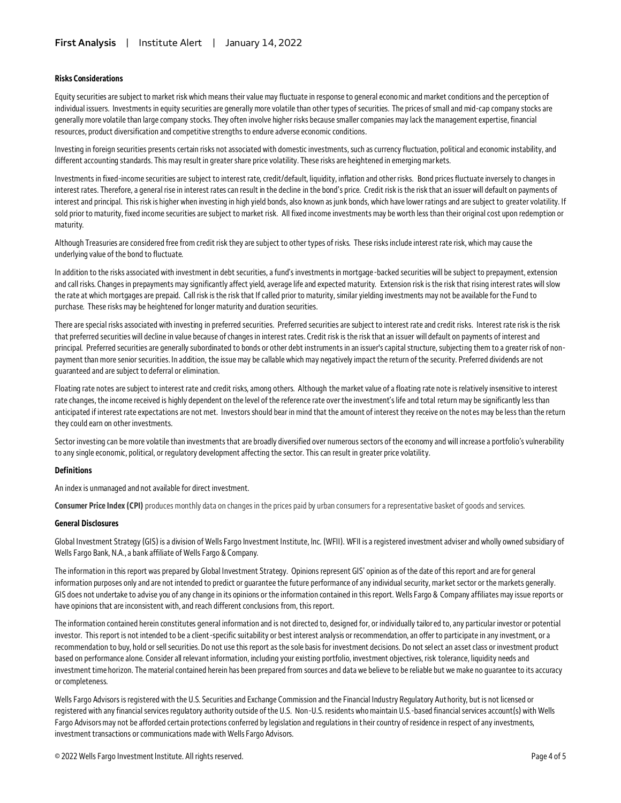#### **Risks Considerations**

Equity securities are subject to market risk which means their value may fluctuate in response to general economic and market conditions and the perception of individual issuers. Investments in equity securities are generally more volatile than other types of securities. The prices of small and mid-cap company stocks are generally more volatile than large company stocks. They often involve higher risks because smaller companies may lack the management expertise, financial resources, product diversification and competitive strengths to endure adverse economic conditions*.* 

Investing in foreign securities presents certain risks not associated with domestic investments, such as currency fluctuation, political and economic instability, and different accounting standards. This may result in greater share price volatility. These risks are heightened in emerging markets.

Investments in fixed-income securities are subject to interest rate, credit/default, liquidity, inflation and other risks. Bond prices fluctuate inversely to changes in interest rates. Therefore, a general rise in interest rates can result in the decline in the bond's price. Credit risk is the risk that an issuer will default on payments of interest and principal. This risk is higher when investing in high yield bonds, also known as junk bonds, which have lower ratings and are subject to greater volatility. If sold prior to maturity, fixed income securities are subject to market risk. All fixed income investments may be worth less than their original cost upon redemption or maturity.

Although Treasuries are considered free from credit risk they are subject to other types of risks. These risks include interest rate risk, which may cause the underlying value of the bond to fluctuate.

In addition to the risks associated with investment in debt securities, a fund's investments in mortgage-backed securities will be subject to prepayment, extension and call risks. Changes in prepayments may significantly affect yield, average life and expected maturity. Extension risk is the risk that rising interest rates will slow the rate at which mortgages are prepaid. Call risk is the risk that If called prior to maturity, similar yielding investments may not be available for the Fund to purchase. These risks may be heightened for longer maturity and duration securities.

There are special risks associated with investing in preferred securities. Preferred securities are subject to interest rate and credit risks. Interest rate risk is the risk that preferred securities will decline in value because of changes in interest rates. Credit risk is the risk that an issuer will default on payments of interest and principal. Preferred securities are generally subordinated to bonds or other debt instruments in an issuer's capital structure, subjecting them to a greater risk of nonpayment than more senior securities. In addition, the issue may be callable which may negatively impact the return of the security. Preferred dividends are not guaranteed and are subject to deferral or elimination.

Floating rate notes are subject to interest rate and credit risks, among others. Although the market value of a floating rate note is relatively insensitive to interest rate changes, the income received is highly dependent on the level of the reference rate over the investment's life and total return may be significantly less than anticipated if interest rate expectations are not met. Investors should bear in mind that the amount of interest they receive on the notes may be less than the return they could earn on other investments.

Sector investing can be more volatile than investments that are broadly diversified over numerous sectors of the economy and will increase a portfolio's vulnerability to any single economic, political, or regulatory development affecting the sector. This can result in greater price volatility.

#### **Definitions**

An index is unmanaged and not available for direct investment.

**Consumer Price Index (CPI)** produces monthly data on changes in the prices paid by urban consumers for a representative basket of goods and services.

#### **General Disclosures**

Global Investment Strategy (GIS) is a division of Wells Fargo Investment Institute, Inc. (WFII). WFII is a registered investment adviser and wholly owned subsidiary of Wells Fargo Bank, N.A., a bank affiliate of Wells Fargo & Company.

The information in this report was prepared by Global Investment Strategy. Opinions represent GIS' opinion as of the date of this report and are for general information purposes only and are not intended to predict or guarantee the future performance of any individual security, market sector or the markets generally. GIS does not undertake to advise you of any change in its opinions or the information contained in this report. Wells Fargo & Company affiliates may issue reports or have opinions that are inconsistent with, and reach different conclusions from, this report.

The information contained herein constitutes general information and is not directed to, designed for, or individually tailored to, any particular investor or potential investor. This report is not intended to be a client-specific suitability or best interest analysis or recommendation, an offer to participate in any investment, or a recommendation to buy, hold or sell securities. Do not use this report as the sole basis for investment decisions. Do not select an asset class or investment product based on performance alone. Consider all relevant information, including your existing portfolio, investment objectives, risk tolerance, liquidity needs and investment time horizon. The material contained herein has been prepared from sources and data we believe to be reliable but we make no guarantee to its accuracy or completeness.

Wells Fargo Advisors is registered with the U.S. Securities and Exchange Commission and the Financial Industry Regulatory Authority, but is not licensed or registered with any financial services regulatory authority outside of the U.S. Non-U.S. residents who maintain U.S.-based financial services account(s) with Wells Fargo Advisors may not be afforded certain protections conferred by legislation and regulations in their country of residence in respect of any investments, investment transactions or communications made with Wells Fargo Advisors.